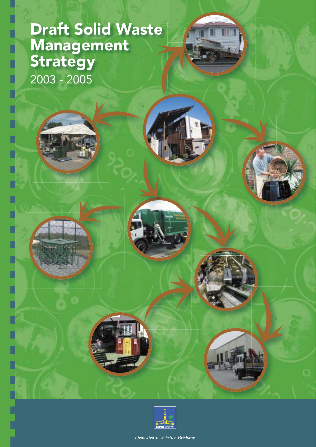# Draft Solid Waste Management **Strategy** 2003 - 2005







Dedicated to a hetter Brishane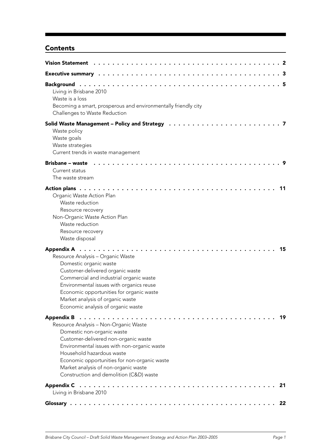# **Contents**

| Living in Brisbane 2010<br>Waste is a loss<br>Becoming a smart, prosperous and environmentally friendly city<br>Challenges to Waste Reduction                                                                                                                                                                                    |
|----------------------------------------------------------------------------------------------------------------------------------------------------------------------------------------------------------------------------------------------------------------------------------------------------------------------------------|
| Waste policy<br>Waste goals<br>Waste strategies<br>Current trends in waste management                                                                                                                                                                                                                                            |
| <b>Brisbane - waste</b><br>Current status<br>The waste stream                                                                                                                                                                                                                                                                    |
| 11<br>Organic Waste Action Plan<br>Waste reduction<br>Resource recovery<br>Non-Organic Waste Action Plan<br>Waste reduction<br>Resource recovery<br>Waste disposal                                                                                                                                                               |
| 15<br>Resource Analysis - Organic Waste<br>Domestic organic waste<br>Customer-delivered organic waste<br>Commercial and industrial organic waste<br>Environmental issues with organics reuse<br>Economic opportunities for organic waste<br>Market analysis of organic waste<br>Economic analysis of organic waste               |
| 19<br>Resource Analysis - Non-Organic Waste<br>Domestic non-organic waste<br>Customer-delivered non-organic waste<br>Environmental issues with non-organic waste<br>Household hazardous waste<br>Economic opportunities for non-organic waste<br>Market analysis of non-organic waste<br>Construction and demolition (C&D) waste |
| 21<br>Living in Brisbane 2010                                                                                                                                                                                                                                                                                                    |
| - 22                                                                                                                                                                                                                                                                                                                             |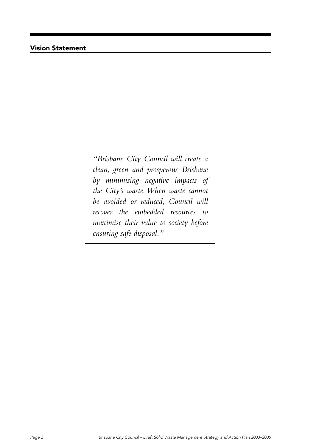## Vision Statement

*"Brisbane City Council will create a clean, green and prosperous Brisbane by minimising negative impacts of the City's waste. When waste cannot be avoided or reduced, Council will recover the embedded resources to maximise their value to society before ensuring safe disposal."*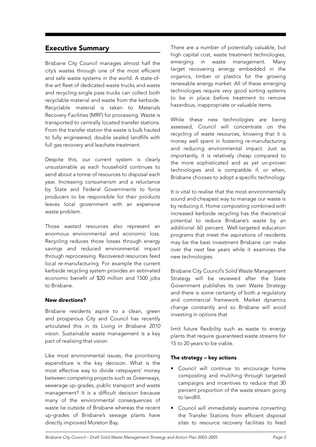## Executive Summary

Brisbane City Council manages almost half the city's wastes through one of the most efficient and safe waste systems in the world. A state-ofthe-art fleet of dedicated waste trucks and waste and recycling single pass trucks can collect both recyclable material and waste from the kerbside. Recyclable material is taken to Materials Recovery Facilities (MRF) for processing. Waste is transported to centrally located transfer stations. From the transfer station the waste is bulk hauled to fully engineered, double sealed landfills with full gas recovery and leachate treatment.

Despite this, our current system is clearly unsustainable as each household continues to send about a tonne of resources to disposal each year. Increasing consumerism and a reluctance by State and Federal Governments to force producers to be responsible for their products leaves local government with an expensive waste problem.

Those wasted resources also represent an enormous environmental and economic loss. Recycling reduces those losses through energy savings and reduced environmental impact through reprocessing. Recovered resources feed local re-manufacturing. For example the current kerbside recycling system provides an estimated economic benefit of \$20 million and 1500 jobs to Brisbane.

#### New directions?

Brisbane residents aspire to a clean, green and prosperous City and Council has recently articulated this in its Living in Brisbane 2010 vision. Sustainable waste management is a key part of realising that vision.

Like most environmental issues, the prioritising expenditure is the key decision. What is the most effective way to divide ratepayers' money between competing projects such as Greenways, sewerage up-grades, public transport and waste management? It is a difficult decision because many of the environmental consequences of waste lie outside of Brisbane whereas the recent up-grades of Brisbane's sewage plants have directly improved Moreton Bay.

There are a number of potentially valuable, but high capital cost, waste treatment technologies, emerging in waste management. Many target recovering energy embedded in the organics, timber or plastics for the growing renewable energy market. All of these emerging technologies require very good sorting systems to be in place before treatment to remove hazardous, inappropriate or valuable items.

While these new technologies are being assessed, Council will concentrate on the recycling of waste resources, knowing that it is money well spent in fostering re-manufacturing and reducing environmental impact. Just as importantly, it is relatively cheap compared to the more sophisticated and as yet un-proven technologies and is compatible if, or when, Brisbane chooses to adopt a specific technology.

It is vital to realise that the most environmentally sound and cheapest way to manage our waste is by reducing it. Home composting combined with increased kerbside recycling has the theoretical potential to reduce Brisbane's waste by an additional 60 percent. Well-targeted education programs that meet the aspirations of residents may be the best investment Brisbane can make over the next few years while it examines the new technologies.

Brisbane City Council's Solid Waste Management Strategy will be reviewed after the State Government publishes its own Waste Strategy and there is some certainty of both a regulatory and commercial framework. Market dynamics change constantly and so Brisbane will avoid investing in options that

limit future flexibility such as waste to energy plants that require guaranteed waste streams for 15 to 20 years to be viable.

#### The strategy – key actions

- Council will continue to encourage home composting and mulching through targeted campaigns and incentives to reduce that 30 percent proportion of the waste stream going to landfill.
- Council will immediately examine converting the Transfer Stations from efficient disposal sites to resource recovery facilities to feed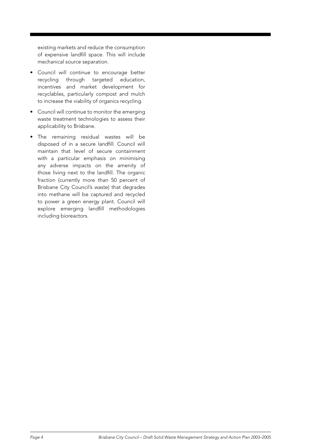existing markets and reduce the consumption of expensive landfill space. This will include mechanical source separation.

- Council will continue to encourage better recycling through targeted education, incentives and market development for recyclables, particularly compost and mulch to increase the viability of organics recycling.
- Council will continue to monitor the emerging waste treatment technologies to assess their applicability to Brisbane.
- The remaining residual wastes will be disposed of in a secure landfill. Council will maintain that level of secure containment with a particular emphasis on minimising any adverse impacts on the amenity of those living next to the landfill. The organic fraction (currently more than 50 percent of Brisbane City Council's waste) that degrades into methane will be captured and recycled to power a green energy plant. Council will explore emerging landfill methodologies including bioreactors.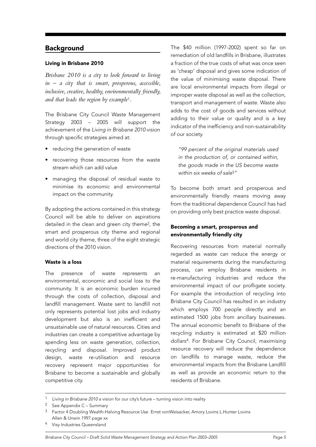## Background

#### Living in Brisbane 2010

*Brisbane 2010 is a city to look forward to living in – a city that is smart, prosperous, accessible, inclusive, creative, healthy, environmentally friendly, and that leads the region by example*1*.*

The Brisbane City Council Waste Management Strategy 2003 – 2005 will support the achievement of the Living in Brisbane 2010 vision through specific strategies aimed at:

- reducing the generation of waste
- recovering those resources from the waste stream which can add value
- managing the disposal of residual waste to minimise its economic and environmental impact on the community.

By adopting the actions contained in this strategy Council will be able to deliver on aspirations detailed in the clean and green city theme2, the smart and prosperous city theme and regional and world city theme, three of the eight strategic directions of the 2010 vision.

#### Waste is a loss

The presence of waste represents an environmental, economic and social loss to the community. It is an economic burden incurred through the costs of collection, disposal and landfill management. Waste sent to landfill not only represents potential lost jobs and industry development but also is an inefficient and unsustainable use of natural resources. Cities and industries can create a competitive advantage by spending less on waste generation, collection, recycling and disposal. Improved product design, waste re-utilisation and resource recovery represent major opportunities for Brisbane to become a sustainable and globally competitive city.

The \$40 million (1997-2002) spent so far on remediation of old landfills in Brisbane, illustrates a fraction of the true costs of what was once seen as 'cheap' disposal and gives some indication of the value of minimising waste disposal. There are local environmental impacts from illegal or improper waste disposal as well as the collection, transport and management of waste. Waste also adds to the cost of goods and services without adding to their value or quality and is a key indicator of the inefficiency and non-sustainability of our society.

"99 percent of the original materials used in the production of, or contained within, the goods made in the US become waste within six weeks of sale<sup>3</sup>"

To become both smart and prosperous and environmentally friendly means moving away from the traditional dependence Council has had on providing only best practice waste disposal.

### Becoming a smart, prosperous and environmentally friendly city

Recovering resources from material normally regarded as waste can reduce the energy or material requirements during the manufacturing process, can employ Brisbane residents in re-manufacturing industries and reduce the environmental impact of our profligate society. For example the introduction of recycling into Brisbane City Council has resulted in an industry which employs 700 people directly and an estimated 1500 jobs from ancillary businesses. The annual economic benefit to Brisbane of the recycling industry is estimated at \$20 million dollars4. For Brisbane City Council, maximising resource recovery will reduce the dependence on landfills to manage waste, reduce the environmental impacts from the Brisbane Landfill as well as provide an economic return to the residents of Brisbane.

Living in Brisbane 2010 a vision for our city's future – turning vision into reality

<sup>2</sup> See Appendix C – Summary

Factor 4 Doubling Wealth-Halving Resource Use Ernst vonWeisacker, Amory Lovins L.Hunter Lovins Allen & Unwin 1997 page xx

<sup>4</sup> Visy Industries Queensland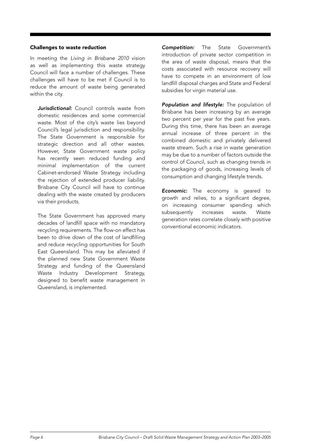#### Challenges to waste reduction

In meeting the Living in Brisbane 2010 vision as well as implementing this waste strategy Council will face a number of challenges. These challenges will have to be met if Council is to reduce the amount of waste being generated within the city.

Jurisdictional: Council controls waste from domestic residences and some commercial waste. Most of the city's waste lies beyond Council's legal jurisdiction and responsibility. The State Government is responsible for strategic direction and all other wastes. However, State Government waste policy has recently seen reduced funding and minimal implementation of the current Cabinet-endorsed Waste Strategy including the rejection of extended producer liability. Brisbane City Council will have to continue dealing with the waste created by producers via their products.

The State Government has approved many decades of landfill space with no mandatory recycling requirements. The flow-on effect has been to drive down of the cost of landfilling and reduce recycling opportunities for South East Queensland. This may be alleviated if the planned new State Government Waste Strategy and funding of the Queensland Waste Industry Development Strategy, designed to benefit waste management in Queensland, is implemented.

**Competition:** The State Government's introduction of private sector competition in the area of waste disposal, means that the costs associated with resource recovery will have to compete in an environment of low landfill disposal charges and State and Federal subsidies for virgin material use.

Population and lifestyle: The population of Brisbane has been increasing by an average two percent per year for the past five years. During this time, there has been an average annual increase of three percent in the combined domestic and privately delivered waste stream. Such a rise in waste generation may be due to a number of factors outside the control of Council, such as changing trends in the packaging of goods, increasing levels of consumption and changing lifestyle trends.

**Economic:** The economy is geared to growth and relies, to a significant degree, on increasing consumer spending which subsequently increases waste. Waste generation rates correlate closely with positive conventional economic indicators.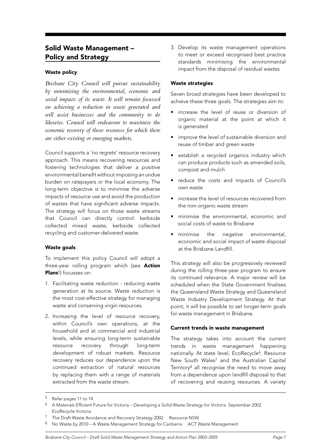## Solid Waste Management – Policy and Strategy

#### Waste policy

*Brisbane City Council will pursue sustainability by minimising the environmental, economic and social impacts of its waste. It will remain focussed on achieving a reduction in waste generated and will assist businesses and the community to do likewise. Council will endeavour to maximise the economic recovery of those resources for which there are either existing or emerging markets.*

Council supports a 'no regrets' resource recovery approach. This means recovering resources and fostering technologies that deliver a positive environmental benefit without imposing an undue burden on ratepayers or the local economy. The long-term objective is to minimise the adverse impacts of resource use and avoid the production of wastes that have significant adverse impacts. The strategy will focus on those waste streams that Council can directly control: kerbside collected mixed waste; kerbside collected recycling and customer-delivered waste.

#### Waste goals

To implement this policy Council will adopt a three-year rolling program which (see Action Plans<sup>5</sup>) focusses on:

- 1. Facilitating waste reduction reducing waste generation at its source. Waste reduction is the most cost-effective strategy for managing waste and conserving virgin resources.
- 2. Increasing the level of resource recovery, within Council's own operations, at the household and at commercial and industrial levels, while ensuring long-term sustainable resource recovery through long-term development of robust markets. Resource recovery reduces our dependence upon the continued extraction of natural resources by replacing them with a range of materials extracted from the waste stream.

3. Develop its waste management operations to meet or exceed recognised best practice standards minimising the environmental impact from the disposal of residual wastes.

#### Waste strategies

Seven broad strategies have been developed to achieve these three goals. The strategies aim to:

- increase the level of reuse or diversion of organic material at the point at which it is generated
- improve the level of sustainable diversion and reuse of timber and green waste
- establish a recycled organics industry which can produce products such as amended soils, compost and mulch
- reduce the costs and impacts of Council's own waste
- increase the level of resources recovered from the non-organic waste stream
- minimise the environmental, economic and social costs of waste to Brisbane
- minimise the negative environmental, economic and social impact of waste disposal at the Brisbane Landfill.

This strategy will also be progressively reviewed during the rolling three-year program to ensure its continued relevance. A major review will be scheduled when the State Government finalises the Queensland Waste Strategy and Queensland Waste Industry Development Strategy. At that point, it will be possible to set longer-term goals for waste management in Brisbane.

#### Current trends in waste management

The strategy takes into account the current trends in waste management happening nationally. At state level, EcoRecycle<sup>6</sup>, Resource New South Wales<sup>7</sup> and the Australian Capital Territory8 all recognise the need to move away from a dependence upon landfill disposal to that of recovering and reusing resources. A variety

<sup>5</sup> Refer pages 11 to 14

<sup>6</sup> A Materials Efficient Future for Victoria – Developing a Solid Waste Strategy for Victoria September 2002 EcoRecycle Victoria

<sup>7</sup> The Draft Waste Avoidance and Recovery Strategy 2002 Resource NSW

<sup>8</sup> No Waste by 2010 – A Waste Management Strategy for Canberra ACT Waste Management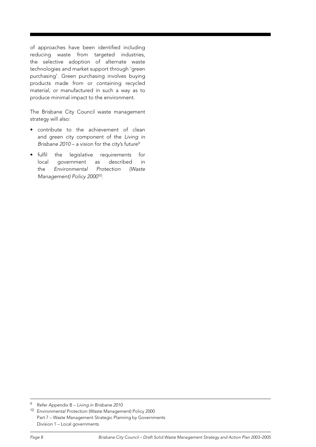of approaches have been identified including reducing waste from targeted industries, the selective adoption of alternate waste technologies and market support through 'green purchasing'. Green purchasing involves buying products made from or containing recycled material, or manufactured in such a way as to produce minimal impact to the environment.

The Brisbane City Council waste management strategy will also:

- contribute to the achievement of clean and green city component of the Living in Brisbane  $2010 - a$  vision for the city's future<sup>9</sup>
- fulfil the legislative requirements for local government as described in the Environmental Protection (Waste Management) Policy 200010.

<sup>9</sup> Refer Appendix B – Living in Brisbane 2010

<sup>10</sup> Environmental Protection (Waste Management) Policy 2000 Part 7 – Waste Management Strategic Planning by Governments Division 1 – Local governments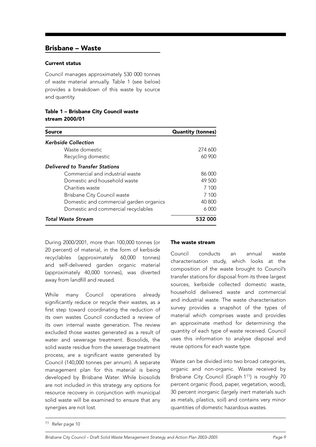## Brisbane – Waste

#### Current status

Council manages approximately 530 000 tonnes of waste material annually. Table 1 (see below) provides a breakdown of this waste by source and quantity.

Table 1 – Brisbane City Council waste stream 2000/01

| Source                                  | <b>Quantity (tonnes)</b> |
|-----------------------------------------|--------------------------|
| <b>Kerbside Collection</b>              |                          |
| Waste domestic                          | 274 600                  |
| Recycling domestic                      | 60 900                   |
| <b>Delivered to Transfer Stations</b>   |                          |
| Commercial and industrial waste         | 86 000                   |
| Domestic and household waste            | 49 500                   |
| Charities waste                         | 7 100                    |
| <b>Brisbane City Council waste</b>      | 7 100                    |
| Domestic and commercial garden organics | 40 800                   |
| Domestic and commercial recyclables     | 6000                     |
| Total Waste Stream                      | 532 000                  |

During 2000/2001, more than 100,000 tonnes (or 20 percent) of material, in the form of kerbside recyclables (approximately 60,000 tonnes) and self-delivered garden organic material (approximately 40,000 tonnes), was diverted away from landfill and reused.

While many Council operations already significantly reduce or recycle their wastes, as a first step toward coordinating the reduction of its own wastes Council conducted a review of its own internal waste generation. The review excluded those wastes generated as a result of water and sewerage treatment. Biosolids, the solid waste residue from the sewerage treatment process, are a significant waste generated by Council (140,000 tonnes per annum). A separate management plan for this material is being developed by Brisbane Water. While biosolids are not included in this strategy any options for resource recovery in conjunction with municipal solid waste will be examined to ensure that any synergies are not lost.

#### The waste stream

Council conducts an annual waste characterisation study, which looks at the composition of the waste brought to Council's transfer stations for disposal from its three largest sources, kerbside collected domestic waste, household delivered waste and commercial and industrial waste. The waste characterisation survey provides a snapshot of the types of material which comprises waste and provides an approximate method for determining the quantity of each type of waste received. Council uses this information to analyse disposal and reuse options for each waste type.

Waste can be divided into two broad categories, organic and non-organic. Waste received by Brisbane City Council (Graph 111) is roughly 70 percent organic (food, paper, vegetation, wood), 30 percent inorganic (largely inert materials such as metals, plastics, soil) and contains very minor quantities of domestic hazardous wastes.

<sup>11</sup> Refer page 10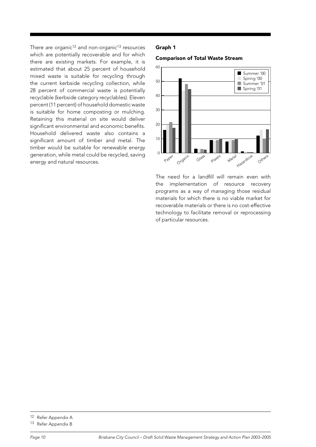There are organic<sup>12</sup> and non-organic<sup>13</sup> resources which are potentially recoverable and for which there are existing markets. For example, it is estimated that about 25 percent of household mixed waste is suitable for recycling through the current kerbside recycling collection, while 28 percent of commercial waste is potentially recyclable (kerbside category recyclables). Eleven percent (11 percent) of household domestic waste is suitable for home composting or mulching. Retaining this material on site would deliver significant environmental and economic benefits. Household delivered waste also contains a significant amount of timber and metal. The timber would be suitable for renewable energy generation, while metal could be recycled, saving energy and natural resources.

#### Graph 1

#### Comparison of Total Waste Stream



The need for a landfill will remain even with the implementation of resource recovery programs as a way of managing those residual materials for which there is no viable market for recoverable materials or there is no cost-effective technology to facilitate removal or reprocessing of particular resources.

<sup>12</sup> Refer Appendix A

<sup>13</sup> Refer Appendix B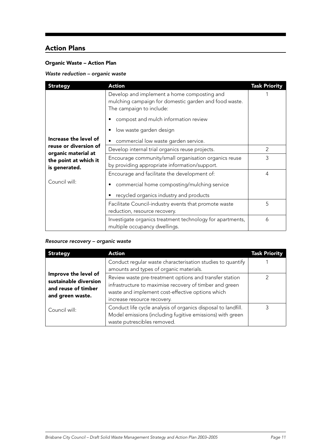# Action Plans

## Organic Waste – Action Plan

## Waste reduction – organic waste

| <b>Strategy</b>                                                                        | <b>Action</b>                                                                                                                    | <b>Task Priority</b> |
|----------------------------------------------------------------------------------------|----------------------------------------------------------------------------------------------------------------------------------|----------------------|
|                                                                                        | Develop and implement a home composting and<br>mulching campaign for domestic garden and food waste.<br>The campaign to include: |                      |
|                                                                                        | compost and mulch information review                                                                                             |                      |
|                                                                                        | low waste garden design                                                                                                          |                      |
| Increase the level of                                                                  | commercial low waste garden service.                                                                                             |                      |
| reuse or diversion of<br>organic material at<br>the point at which it<br>is generated. | Develop internal trial organics reuse projects.                                                                                  | $\mathcal{P}$        |
|                                                                                        | Encourage community/small organisation organics reuse<br>by providing appropriate information/support.                           | 3                    |
|                                                                                        | Encourage and facilitate the development of:                                                                                     | 4                    |
| Council will:                                                                          | commercial home composting/mulching service<br>recycled organics industry and products                                           |                      |
|                                                                                        | Facilitate Council-industry events that promote waste<br>reduction, resource recovery.                                           | 5                    |
|                                                                                        | Investigate organics treatment technology for apartments,<br>multiple occupancy dwellings.                                       | 6                    |

#### Resource recovery – organic waste

| <b>Strategy</b>                                                                          | <b>Action</b>                                                                                                                                                                                         | <b>Task Priority</b> |
|------------------------------------------------------------------------------------------|-------------------------------------------------------------------------------------------------------------------------------------------------------------------------------------------------------|----------------------|
|                                                                                          | Conduct regular waste characterisation studies to quantify<br>amounts and types of organic materials.                                                                                                 |                      |
| Improve the level of<br>sustainable diversion<br>and reuse of timber<br>and green waste. | Review waste pre-treatment options and transfer station<br>infrastructure to maximise recovery of timber and green<br>waste and implement cost-effective options which<br>increase resource recovery. |                      |
| Council will:                                                                            | Conduct life cycle analysis of organics disposal to landfill.<br>Model emissions (including fugitive emissions) with green<br>waste putrescibles removed.                                             |                      |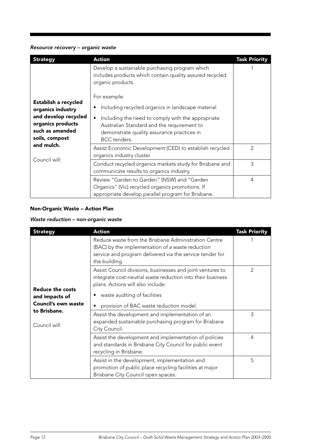#### Resource recovery – organic waste

| <b>Strategy</b>                                                                                                                                            | <b>Action</b>                                                                                                                                                                                                                             | <b>Task Priority</b> |
|------------------------------------------------------------------------------------------------------------------------------------------------------------|-------------------------------------------------------------------------------------------------------------------------------------------------------------------------------------------------------------------------------------------|----------------------|
|                                                                                                                                                            | Develop a sustainable purchasing program which<br>includes products which contain quality assured recycled<br>organic products.                                                                                                           |                      |
| Establish a recycled<br>organics industry<br>and develop recycled<br>organics products<br>such as amended<br>soils, compost<br>and mulch.<br>Council will: | For example:<br>Including recycled organics in landscape material<br>Including the need to comply with the appropriate<br>Australian Standard and the requirement to<br>demonstrate quality assurance practices in<br><b>BCC</b> tenders. |                      |
|                                                                                                                                                            | Assist Economic Development (CED) to establish recycled<br>organics industry cluster.                                                                                                                                                     | $\overline{2}$       |
|                                                                                                                                                            | Conduct recycled organics markets study for Brisbane and<br>communicate results to organics industry.                                                                                                                                     | 3                    |
|                                                                                                                                                            | Review "Garden to Garden" (NSW) and "Garden<br>Organics" (Vic) recycled organics promotions. If<br>appropriate develop parallel program for Brisbane.                                                                                     | 4                    |

## Non-Organic Waste – Action Plan

## Waste reduction – non-organic waste

| <b>Strategy</b>                                                                                   | <b>Action</b>                                                                                                                                                                                                                            | <b>Task Priority</b> |
|---------------------------------------------------------------------------------------------------|------------------------------------------------------------------------------------------------------------------------------------------------------------------------------------------------------------------------------------------|----------------------|
|                                                                                                   | Reduce waste from the Brisbane Administration Centre<br>(BAC) by the implementation of a waste reduction<br>service and program delivered via the service tender for<br>the building.                                                    |                      |
| Reduce the costs<br>and impacts of<br><b>Council's own waste</b><br>to Brisbane.<br>Council will: | Assist Council divisions, businesses and joint ventures to<br>integrate cost-neutral waste reduction into their business<br>plans. Actions will also include:<br>waste auditing of facilities<br>provision of BAC waste reduction model. | $\mathfrak{D}$       |
|                                                                                                   | Assist the development and implementation of an<br>expanded sustainable purchasing program for Brisbane<br>City Council.                                                                                                                 | 3                    |
|                                                                                                   | Assist the development and implementation of policies<br>and standards in Brisbane City Council for public event<br>recycling in Brisbane.                                                                                               | 4                    |
|                                                                                                   | Assist in the development, implementation and<br>promotion of public place recycling facilities at major<br>Brisbane City Council open spaces.                                                                                           | 5                    |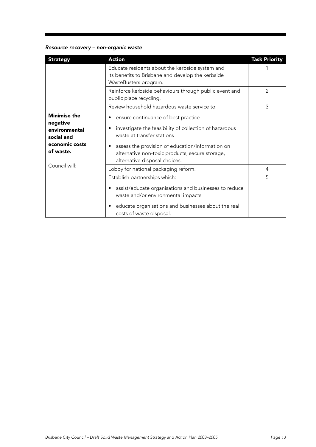## Resource recovery – non-organic waste

| <b>Strategy</b>                                                                               | <b>Action</b>                                                                                                                                                                                                                                                       | <b>Task Priority</b> |
|-----------------------------------------------------------------------------------------------|---------------------------------------------------------------------------------------------------------------------------------------------------------------------------------------------------------------------------------------------------------------------|----------------------|
|                                                                                               | Educate residents about the kerbside system and<br>its benefits to Brisbane and develop the kerbside<br>WasteBusters program.                                                                                                                                       |                      |
|                                                                                               | Reinforce kerbside behaviours through public event and<br>public place recycling.                                                                                                                                                                                   | $\mathfrak{D}$       |
|                                                                                               | Review household hazardous waste service to:                                                                                                                                                                                                                        | 3                    |
| <b>Minimise the</b><br>negative<br>environmental<br>social and<br>economic costs<br>of waste. | ensure continuance of best practice<br>investigate the feasibility of collection of hazardous<br>waste at transfer stations<br>assess the provision of education/information on<br>alternative non-toxic products; secure storage,<br>alternative disposal choices. |                      |
| Council will:                                                                                 | Lobby for national packaging reform.                                                                                                                                                                                                                                | 4                    |
|                                                                                               | Establish partnerships which:<br>assist/educate organisations and businesses to reduce<br>waste and/or environmental impacts<br>educate organisations and businesses about the real<br>costs of waste disposal.                                                     | 5                    |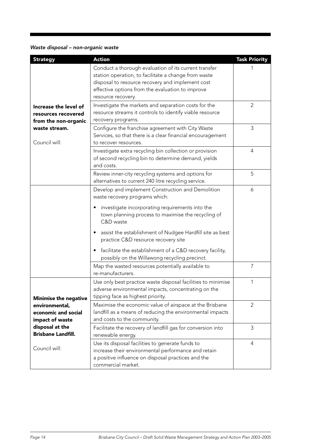# Waste disposal – non-organic waste

| <b>Strategy</b>                                                      | <b>Action</b>                                                                                                                                                                                                                                                                                                                                                                                                             | <b>Task Priority</b> |
|----------------------------------------------------------------------|---------------------------------------------------------------------------------------------------------------------------------------------------------------------------------------------------------------------------------------------------------------------------------------------------------------------------------------------------------------------------------------------------------------------------|----------------------|
|                                                                      | Conduct a thorough evaluation of its current transfer<br>station operation, to facilitate a change from waste<br>disposal to resource recovery and implement cost<br>effective options from the evaluation to improve<br>resource recovery.                                                                                                                                                                               |                      |
| Increase the level of<br>resources recovered<br>from the non-organic | Investigate the markets and separation costs for the<br>resource streams it controls to identify viable resource<br>recovery programs.                                                                                                                                                                                                                                                                                    | $\overline{2}$       |
| waste stream.<br>Council will:                                       | Configure the franchise agreement with City Waste<br>Services, so that there is a clear financial encouragement<br>to recover resources.                                                                                                                                                                                                                                                                                  | 3                    |
|                                                                      | Investigate extra recycling bin collection or provision<br>of second recycling bin to determine demand, yields<br>and costs.                                                                                                                                                                                                                                                                                              | $\overline{4}$       |
|                                                                      | Review inner-city recycling systems and options for<br>alternatives to current 240 litre recycling service.                                                                                                                                                                                                                                                                                                               | 5                    |
|                                                                      | Develop and implement Construction and Demolition<br>waste recovery programs which:<br>investigate incorporating requirements into the<br>town planning process to maximise the recycling of<br>C&D waste<br>assist the establishment of Nudgee Hardfill site as best<br>practice C&D resource recovery site<br>facilitate the establishment of a C&D recovery facility,<br>possibly on the Willawong recycling precinct. | 6                    |
|                                                                      | Map the wasted resources potentially available to<br>re-manufacturers.                                                                                                                                                                                                                                                                                                                                                    | 7                    |
| <b>Minimise the negative</b>                                         | Use only best practice waste disposal facilities to minimise<br>adverse environmental impacts, concentrating on the<br>tipping face as highest priority.                                                                                                                                                                                                                                                                  | 1                    |
| environmental,<br>economic and social<br>impact of waste             | Maximise the economic value of airspace at the Brisbane<br>landfill as a means of reducing the environmental impacts<br>and costs to the community.                                                                                                                                                                                                                                                                       | $\overline{2}$       |
| disposal at the<br><b>Brisbane Landfill.</b>                         | Facilitate the recovery of landfill gas for conversion into<br>renewable energy.                                                                                                                                                                                                                                                                                                                                          | 3                    |
| Council will:                                                        | Use its disposal facilities to generate funds to<br>increase their environmental performance and retain<br>a positive influence on disposal practices and the<br>commercial market.                                                                                                                                                                                                                                       | 4                    |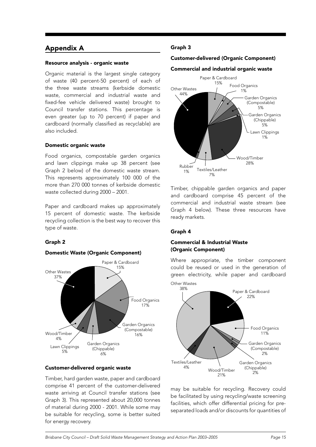## Appendix A

#### Resource analysis - organic waste

Organic material is the largest single category of waste (40 percent-50 percent) of each of the three waste streams (kerbside domestic waste, commercial and industrial waste and fixed-fee vehicle delivered waste) brought to Council transfer stations. This percentage is even greater (up to 70 percent) if paper and cardboard (normally classified as recyclable) are also included.

#### Domestic organic waste

Food organics, compostable garden organics and lawn clippings make up 38 percent (see Graph 2 below) of the domestic waste stream. This represents approximately 100 000 of the more than 270 000 tonnes of kerbside domestic waste collected during 2000 – 2001.

Paper and cardboard makes up approximately 15 percent of domestic waste. The kerbside recycling collection is the best way to recover this type of waste.

#### Graph 2

#### Domestic Waste (Organic Component)



#### Customer-delivered organic waste

Timber, hard garden waste, paper and cardboard comprise 41 percent of the customer-delivered waste arriving at Council transfer stations (see Graph 3). This represented about 20,000 tonnes of material during 2000 - 2001. While some may be suitable for recycling, some is better suited for energy recovery.

#### Graph 3

#### Customer-delivered (Organic Component)

#### Commercial and industrial organic waste



Timber, chippable garden organics and paper and cardboard comprise 45 percent of the commercial and industrial waste stream (see Graph 4 below). These three resources have ready markets.

#### Graph 4

#### Commercial & Industrial Waste (Organic Component)

Where appropriate, the timber component could be reused or used in the generation of green electricity, while paper and cardboard



may be suitable for recycling. Recovery could be facilitated by using recycling/waste screening facilities, which offer differential pricing for preseparated loads and/or discounts for quantities of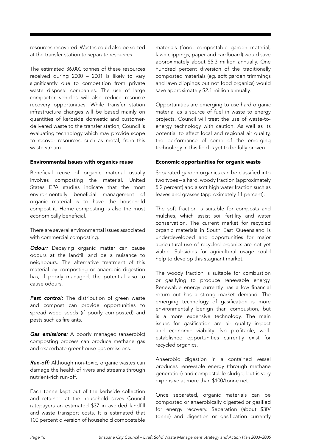resources recovered. Wastes could also be sorted at the transfer station to separate resources.

The estimated 36,000 tonnes of these resources received during 2000 – 2001 is likely to vary significantly due to competition from private waste disposal companies. The use of large compactor vehicles will also reduce resource recovery opportunities. While transfer station infrastructure changes will be based mainly on quantities of kerbside domestic and customerdelivered waste to the transfer station, Council is evaluating technology which may provide scope to recover resources, such as metal, from this waste stream.

#### Environmental issues with organics reuse

Beneficial reuse of organic material usually involves composting the material. United States EPA studies indicate that the most environmentally beneficial management of organic material is to have the household compost it. Home composting is also the most economically beneficial.

There are several environmental issues associated with commercial composting.

**Odour:** Decaying organic matter can cause odours at the landfill and be a nuisance to neighbours. The alternative treatment of this material by composting or anaerobic digestion has, if poorly managed, the potential also to cause odours.

Pest control: The distribution of green waste and compost can provide opportunities to spread weed seeds (if poorly composted) and pests such as fire ants.

Gas emissions: A poorly managed (anaerobic) composting process can produce methane gas and exacerbate greenhouse gas emissions.

Run-off: Although non-toxic, organic wastes can damage the health of rivers and streams through nutrient-rich run-off.

Each tonne kept out of the kerbside collection and retained at the household saves Council ratepayers an estimated \$37 in avoided landfill and waste transport costs. It is estimated that 100 percent diversion of household compostable

materials (food, compostable garden material, lawn clippings, paper and cardboard) would save approximately about \$5.3 million annually. One hundred percent diversion of the traditionally composted materials (eg. soft garden trimmings and lawn clippings but not food organics) would save approximately \$2.1 million annually.

Opportunities are emerging to use hard organic material as a source of fuel in waste to energy projects. Council will treat the use of waste-toenergy technology with caution. As well as its potential to affect local and regional air quality, the performance of some of the emerging technology in this field is yet to be fully proven.

#### Economic opportunities for organic waste

Separated garden organics can be classified into two types – a hard, woody fraction (approximately 5.2 percent) and a soft high water fraction such as leaves and grasses (approximately 11 percent).

The soft fraction is suitable for composts and mulches, which assist soil fertility and water conservation. The current market for recycled organic materials in South East Queensland is underdeveloped and opportunities for major agricultural use of recycled organics are not yet viable. Subsidies for agricultural usage could help to develop this stagnant market.

The woody fraction is suitable for combustion or gasifying to produce renewable energy. Renewable energy currently has a low financial return but has a strong market demand. The emerging technology of gasification is more environmentally benign than combustion, but is a more expensive technology. The main issues for gasification are air quality impact and economic viability. No profitable, wellestablished opportunities currently exist for recycled organics.

Anaerobic digestion in a contained vessel produces renewable energy (through methane generation) and compostable sludge, but is very expensive at more than \$100/tonne net.

Once separated, organic materials can be composted or anaerobically digested or gasified for energy recovery. Separation (about \$30/ tonne) and digestion or gasification currently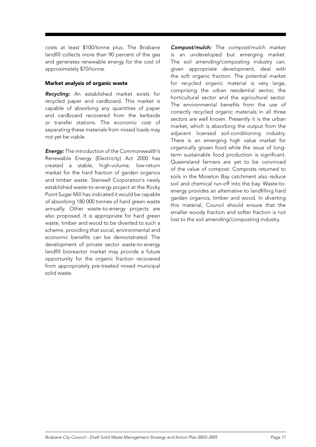costs at least \$100/tonne plus. The Brisbane landfill collects more than 90 percent of the gas and generates renewable energy for the cost of approximately \$70/tonne.

#### Market analysis of organic waste

Recycling: An established market exists for recycled paper and cardboard. This market is capable of absorbing any quantities of paper and cardboard recovered from the kerbside or transfer stations. The economic cost of separating these materials from mixed loads may not yet be viable.

**Energy:** The introduction of the Commonwealth's Renewable Energy (Electricity) Act 2000 has created a stable, high-volume, low-return market for the hard fraction of garden organics and timber waste. Stanwell Corporation's newly established waste-to-energy project at the Rocky Point Sugar Mill has indicated it would be capable of absorbing 180 000 tonnes of hard green waste annually. Other waste-to-energy projects are also proposed. It is appropriate for hard green waste, timber and wood to be diverted to such a scheme, providing that social, environmental and economic benefits can be demonstrated. The development of private sector waste-to-energy landfill bioreactor market may provide a future opportunity for the organic fraction recovered from appropriately pre-treated mixed municipal solid waste.

Compost/mulch: The compost/mulch market is an undeveloped but emerging market. The soil amending/composting industry can, given appropriate development, deal with the soft organic fraction. The potential market for recycled organic material is very large, comprising the urban residential sector, the horticultural sector and the agricultural sector. The environmental benefits from the use of correctly recycled organic materials in all three sectors are well known. Presently it is the urban market, which is absorbing the output from the adjacent licensed soil-conditioning industry. There is an emerging high value market for organically grown food while the issue of longterm sustainable food production is significant. Queensland farmers are yet to be convinced of the value of compost. Composts returned to soils in the Moreton Bay catchment also reduce soil and chemical run-off into the bay. Waste-toenergy provides an alternative to landfilling hard garden organics, timber and wood. In diverting this material, Council should ensure that the smaller woody fraction and softer fraction is not lost to the soil amending/composting industry.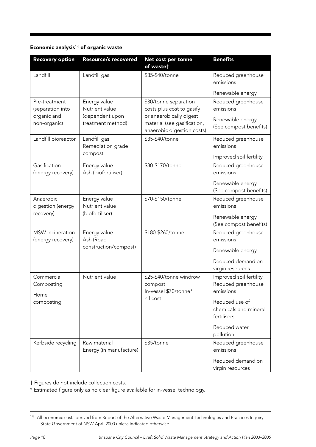## Economic analysis $14$  of organic waste

| <b>Recovery option</b>                | <b>Resource/s recovered</b>             | Net cost per tonne<br>of wastet                                                      | <b>Benefits</b>                                            |
|---------------------------------------|-----------------------------------------|--------------------------------------------------------------------------------------|------------------------------------------------------------|
| Landfill                              | Landfill gas                            | \$35-\$40/tonne                                                                      | Reduced greenhouse<br>emissions                            |
|                                       |                                         |                                                                                      | Renewable energy                                           |
| Pre-treatment<br>(separation into     | Energy value<br>Nutrient value          | \$30/tonne separation<br>costs plus cost to gasify                                   | Reduced greenhouse<br>emissions                            |
| organic and<br>non-organic)           | (dependent upon<br>treatment method)    | or anaerobically digest<br>material (see gasification,<br>anaerobic digestion costs) | Renewable energy<br>(See compost benefits)                 |
| Landfill bioreactor                   | Landfill gas<br>Remediation grade       | \$35-\$40/tonne                                                                      | Reduced greenhouse<br>emissions                            |
|                                       | compost                                 |                                                                                      | Improved soil fertility                                    |
| Gasification<br>(energy recovery)     | Energy value<br>Ash (biofertiliser)     | \$80-\$170/tonne                                                                     | Reduced greenhouse<br>emissions                            |
|                                       |                                         |                                                                                      | Renewable energy<br>(See compost benefits)                 |
| Anaerobic<br>digestion (energy        | Energy value<br>Nutrient value          | \$70-\$150/tonne                                                                     | Reduced greenhouse<br>emissions                            |
| recovery)                             | (biofertiliser)                         |                                                                                      | Renewable energy<br>(See compost benefits)                 |
| MSW incineration<br>(energy recovery) | Energy value<br>Ash (Road               | \$180-\$260/tonne                                                                    | Reduced greenhouse<br>emissions                            |
|                                       | construction/compost)                   |                                                                                      | Renewable energy                                           |
|                                       |                                         |                                                                                      | Reduced demand on<br>virgin resources                      |
| Commercial<br>Composting<br>Home      | Nutrient value                          | \$25-\$40/tonne windrow<br>compost<br>In-vessel \$70/tonne*                          | Improved soil fertility<br>Reduced greenhouse<br>emissions |
| composting                            |                                         | nil cost                                                                             | Reduced use of<br>chemicals and mineral<br>fertilisers     |
|                                       |                                         |                                                                                      | Reduced water<br>pollution                                 |
| Kerbside recycling                    | Raw material<br>Energy (in manufacture) | \$35/tonne                                                                           | Reduced greenhouse<br>emissions                            |
|                                       |                                         |                                                                                      | Reduced demand on<br>virgin resources                      |

† Figures do not include collection costs.

\* Estimated figure only as no clear figure available for in-vessel technology.

<sup>14</sup> All economic costs derived from Report of the Alternative Waste Management Technologies and Practices Inquiry – State Government of NSW April 2000 unless indicated otherwise.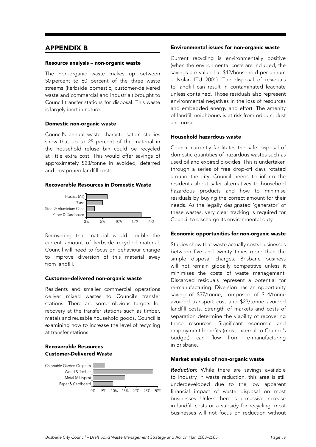## APPENDIX B

#### Resource analysis – non-organic waste

The non-organic waste makes up between 50 percent to 60 percent of the three waste streams (kerbside domestic, customer-delivered waste and commercial and industrial) brought to Council transfer stations for disposal. This waste is largely inert in nature.

#### Domestic non-organic waste

Council's annual waste characterisation studies show that up to 25 percent of the material in the household refuse bin could be recycled at little extra cost. This would offer savings of approximately \$23/tonne in avoided, deferred and postponed landfill costs.

#### Recoverable Resources in Domestic Waste



Recovering that material would double the current amount of kerbside recycled material. Council will need to focus on behaviour change to improve diversion of this material away from landfill.

#### Customer-delivered non-organic waste

Residents and smaller commercial operations deliver mixed wastes to Council's transfer stations. There are some obvious targets for recovery at the transfer stations such as timber, metals and reusable household goods. Council is examining how to increase the level of recycling at transfer stations.

#### Recoverable Resources Customer-Delivered Waste



#### Environmental issues for non-organic waste

Current recycling is environmentally positive (when the environmental costs are included, the savings are valued at \$42/household per annum – Nolan ITU 2001). The disposal of residuals to landfill can result in contaminated leachate unless contained. Those residuals also represent environmental negatives in the loss of resources and embedded energy and effort. The amenity of landfill neighbours is at risk from odours, dust and noise.

#### Household hazardous waste

Council currently facilitates the safe disposal of domestic quantities of hazardous wastes such as used oil and expired biocides. This is undertaken through a series of free drop-off days rotated around the city. Council needs to inform the residents about safer alternatives to household hazardous products and how to minimise residuals by buying the correct amount for their needs. As the legally designated 'generator' of these wastes, very clear tracking is required for Council to discharge its environmental duty.

#### Economic opportunities for non-organic waste

Studies show that waste actually costs businesses between five and twenty times more than the simple disposal charges. Brisbane business will not remain globally competitive unless it minimises the costs of waste management. Discarded residuals represent a potential for re-manufacturing. Diversion has an opportunity saving of \$37/tonne, composed of \$14/tonne avoided transport cost and \$23/tonne avoided landfill costs. Strength of markets and costs of separation determine the viability of recovering these resources. Significant economic and employment benefits (most external to Council's budget) can flow from re-manufacturing in Brisbane.

#### Market analysis of non-organic waste

Reduction: While there are savings available to industry in waste reduction, this area is still underdeveloped due to the low apparent financial impact of waste disposal on most businesses. Unless there is a massive increase in landfill costs or a subsidy for recycling, most businesses will not focus on reduction without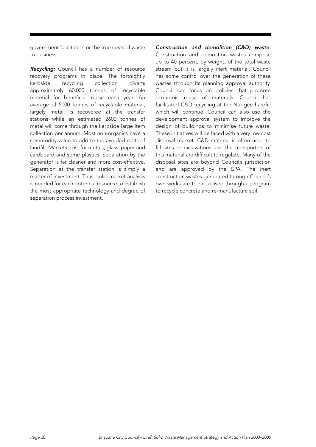government facilitation or the true costs of waste to business.

Recycling: Council has a number of resource recovery programs in place. The fortnightly kerbside recycling collection diverts approximately 60,000 tonnes of recyclable material for beneficial reuse each year. An average of 5000 tonnes of recyclable material, largely metal, is recovered at the transfer stations while an estimated 2600 tonnes of metal will come through the kerbside large item collection per annum. Most non-organics have a commodity value to add to the avoided costs of landfill. Markets exist for metals, glass, paper and cardboard and some plastics. Separation by the generator is far cleaner and more cost-effective. Separation at the transfer station is simply a matter of investment. Thus, solid market analysis is needed for each potential resource to establish the most appropriate technology and degree of separation process investment.

Construction and demolition (C&D) waste: Construction and demolition wastes comprise up to 40 percent, by weight, of the total waste stream but it is largely inert material. Council has some control over the generation of these wastes through its planning approval authority. Council can focus on policies that promote economic reuse of materials. Council has facilitated C&D recycling at the Nudgee hardfill which will continue. Council can also use the development approval system to improve the design of buildings to minimise future waste. These initiatives will be faced with a very low cost disposal market. C&D material is often used to fill sites or excavations and the transporters of this material are difficult to regulate. Many of the disposal sites are beyond Council's jurisdiction and are approved by the EPA. The inert construction wastes generated through Council's own works are to be utilised through a program to recycle concrete and re-manufacture soil.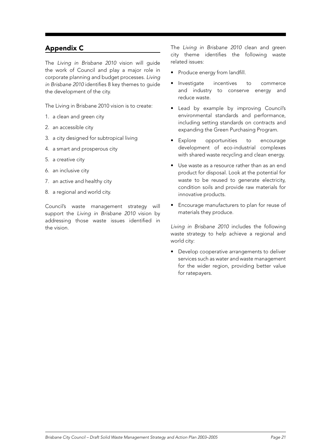# Appendix C

The Living in Brisbane 2010 vision will guide the work of Council and play a major role in corporate planning and budget processes. Living in Brisbane 2010 identifies 8 key themes to guide the development of the city.

The Living in Brisbane 2010 vision is to create:

- 1. a clean and green city
- 2. an accessible city
- 3. a city designed for subtropical living
- 4. a smart and prosperous city
- 5. a creative city
- 6. an inclusive city
- 7. an active and healthy city
- 8. a regional and world city.

Council's waste management strategy will support the Living in Brisbane 2010 vision by addressing those waste issues identified in the vision.

The Living in Brisbane 2010 clean and green city theme identifies the following waste related issues:

- Produce energy from landfill.
- Investigate incentives to commerce and industry to conserve energy and reduce waste.
- Lead by example by improving Council's environmental standards and performance, including setting standards on contracts and expanding the Green Purchasing Program.
- Explore opportunities to encourage development of eco-industrial complexes with shared waste recycling and clean energy.
- Use waste as a resource rather than as an end product for disposal. Look at the potential for waste to be reused to generate electricity, condition soils and provide raw materials for innovative products.
- Encourage manufacturers to plan for reuse of materials they produce.

Living in Brisbane 2010 includes the following waste strategy to help achieve a regional and world city:

• Develop cooperative arrangements to deliver services such as water and waste management for the wider region, providing better value for ratepayers.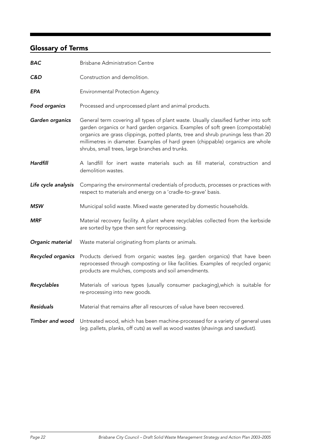# Glossary of Terms

| <b>BAC</b>             | <b>Brisbane Administration Centre</b>                                                                                                                                                                                                                                                                                                                                                           |
|------------------------|-------------------------------------------------------------------------------------------------------------------------------------------------------------------------------------------------------------------------------------------------------------------------------------------------------------------------------------------------------------------------------------------------|
| C&D                    | Construction and demolition.                                                                                                                                                                                                                                                                                                                                                                    |
| EPA                    | Environmental Protection Agency.                                                                                                                                                                                                                                                                                                                                                                |
| Food organics          | Processed and unprocessed plant and animal products.                                                                                                                                                                                                                                                                                                                                            |
| Garden organics        | General term covering all types of plant waste. Usually classified further into soft<br>garden organics or hard garden organics. Examples of soft green (compostable)<br>organics are grass clippings, potted plants, tree and shrub prunings less than 20<br>millimetres in diameter. Examples of hard green (chippable) organics are whole<br>shrubs, small trees, large branches and trunks. |
| Hardfill               | A landfill for inert waste materials such as fill material, construction and<br>demolition wastes.                                                                                                                                                                                                                                                                                              |
| Life cycle analysis    | Comparing the environmental credentials of products, processes or practices with<br>respect to materials and energy on a 'cradle-to-grave' basis.                                                                                                                                                                                                                                               |
| <b>MSW</b>             | Municipal solid waste. Mixed waste generated by domestic households.                                                                                                                                                                                                                                                                                                                            |
| <b>MRF</b>             | Material recovery facility. A plant where recyclables collected from the kerbside<br>are sorted by type then sent for reprocessing.                                                                                                                                                                                                                                                             |
| Organic material       | Waste material originating from plants or animals.                                                                                                                                                                                                                                                                                                                                              |
| Recycled organics      | Products derived from organic wastes (eg. garden organics) that have been<br>reprocessed through composting or like facilities. Examples of recycled organic<br>products are mulches, composts and soil amendments.                                                                                                                                                                             |
| Recyclables            | Materials of various types (usually consumer packaging), which is suitable for<br>re-processing into new goods.                                                                                                                                                                                                                                                                                 |
| <b>Residuals</b>       | Material that remains after all resources of value have been recovered.                                                                                                                                                                                                                                                                                                                         |
| <b>Timber and wood</b> | Untreated wood, which has been machine-processed for a variety of general uses<br>(eg. pallets, planks, off cuts) as well as wood wastes (shavings and sawdust).                                                                                                                                                                                                                                |